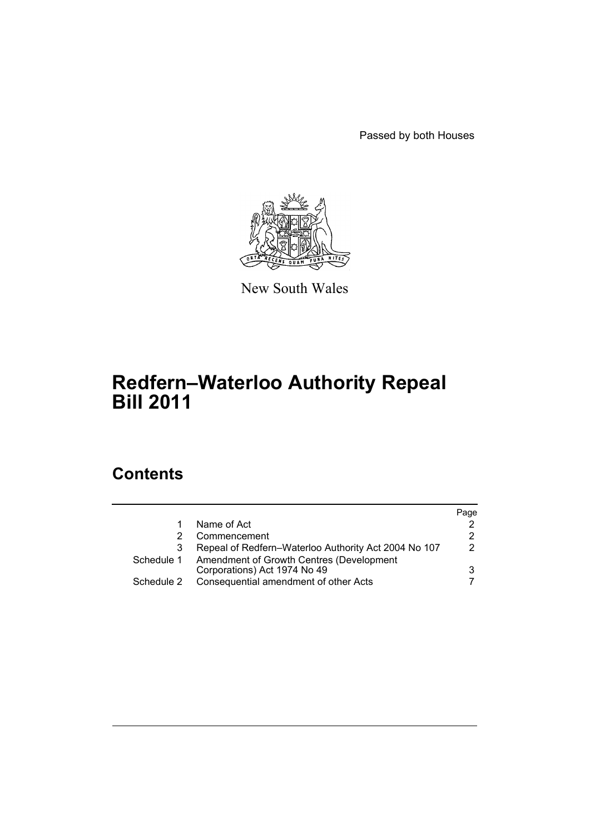Passed by both Houses



New South Wales

# **Redfern–Waterloo Authority Repeal Bill 2011**

# **Contents**

|            |                                                                          | Page |
|------------|--------------------------------------------------------------------------|------|
|            | Name of Act                                                              |      |
|            | Commencement                                                             | 2    |
| 3          | Repeal of Redfern–Waterloo Authority Act 2004 No 107                     | 2    |
| Schedule 1 | Amendment of Growth Centres (Development<br>Corporations) Act 1974 No 49 | 3    |
| Schedule 2 | Consequential amendment of other Acts                                    |      |
|            |                                                                          |      |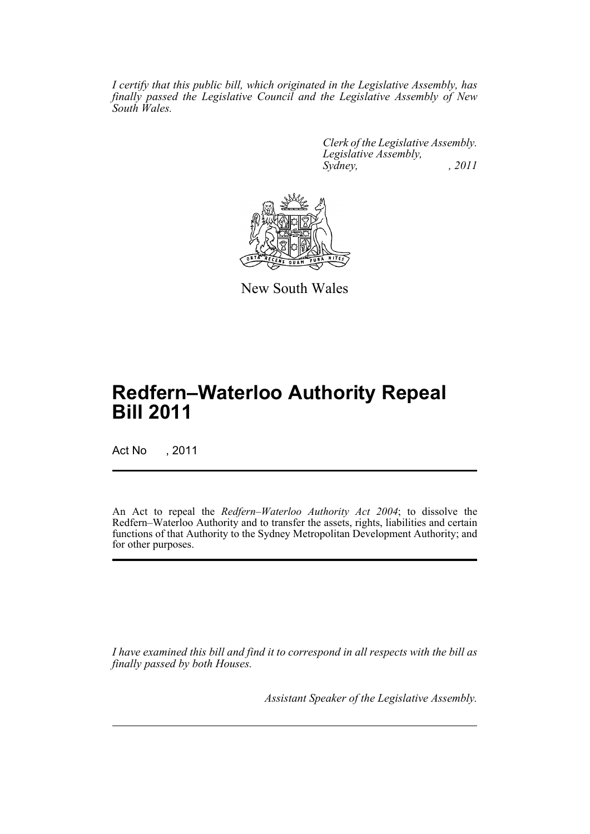*I certify that this public bill, which originated in the Legislative Assembly, has finally passed the Legislative Council and the Legislative Assembly of New South Wales.*

> *Clerk of the Legislative Assembly. Legislative Assembly, Sydney, , 2011*



New South Wales

# **Redfern–Waterloo Authority Repeal Bill 2011**

Act No , 2011

An Act to repeal the *Redfern–Waterloo Authority Act 2004*; to dissolve the Redfern–Waterloo Authority and to transfer the assets, rights, liabilities and certain functions of that Authority to the Sydney Metropolitan Development Authority; and for other purposes.

*I have examined this bill and find it to correspond in all respects with the bill as finally passed by both Houses.*

*Assistant Speaker of the Legislative Assembly.*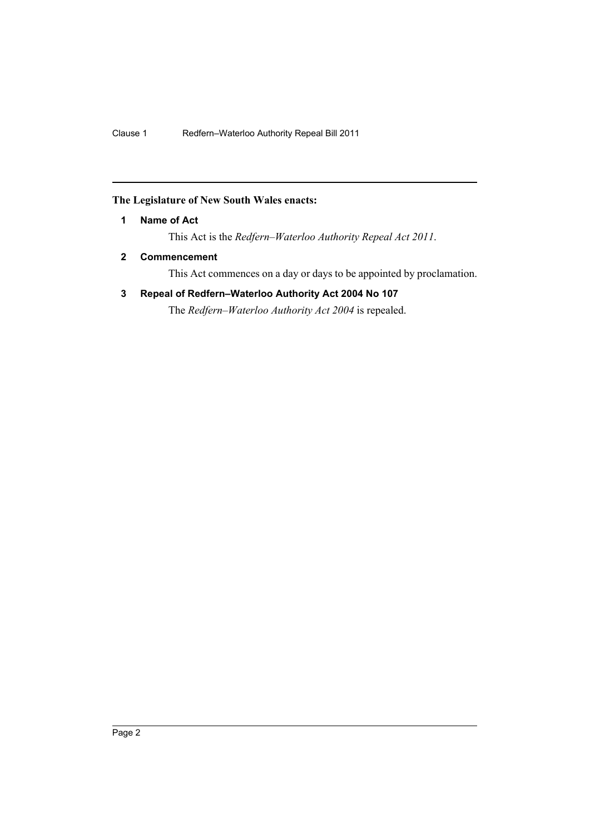## <span id="page-3-0"></span>**The Legislature of New South Wales enacts:**

## **1 Name of Act**

This Act is the *Redfern–Waterloo Authority Repeal Act 2011*.

# <span id="page-3-1"></span>**2 Commencement**

This Act commences on a day or days to be appointed by proclamation.

# <span id="page-3-2"></span>**3 Repeal of Redfern–Waterloo Authority Act 2004 No 107**

The *Redfern–Waterloo Authority Act 2004* is repealed.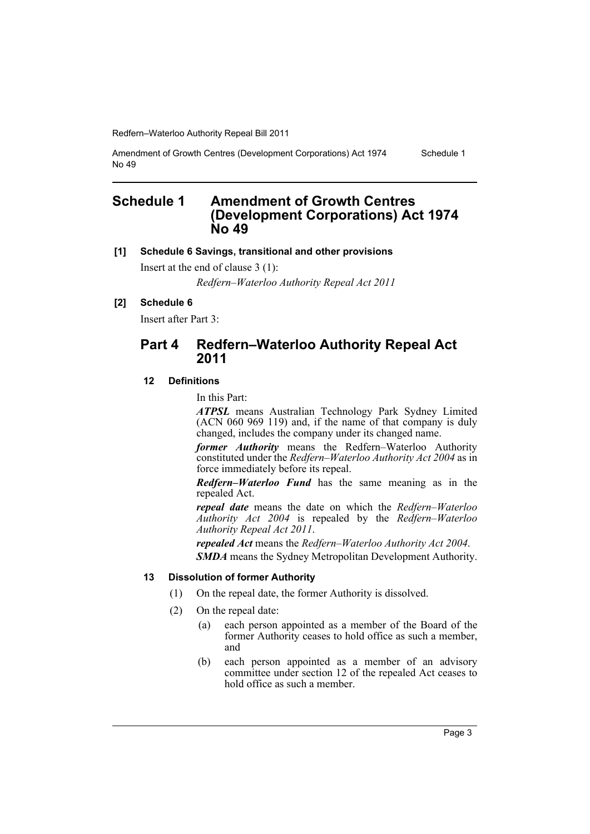Amendment of Growth Centres (Development Corporations) Act 1974 No 49 Schedule 1

# <span id="page-4-0"></span>**Schedule 1 Amendment of Growth Centres (Development Corporations) Act 1974 No 49**

#### **[1] Schedule 6 Savings, transitional and other provisions**

Insert at the end of clause 3 (1):

*Redfern–Waterloo Authority Repeal Act 2011*

## **[2] Schedule 6**

Insert after Part 3:

# **Part 4 Redfern–Waterloo Authority Repeal Act 2011**

## **12 Definitions**

In this Part:

*ATPSL* means Australian Technology Park Sydney Limited (ACN 060 969 119) and, if the name of that company is duly changed, includes the company under its changed name.

*former Authority* means the Redfern–Waterloo Authority constituted under the *Redfern–Waterloo Authority Act 2004* as in force immediately before its repeal.

*Redfern–Waterloo Fund* has the same meaning as in the repealed Act.

*repeal date* means the date on which the *Redfern–Waterloo Authority Act 2004* is repealed by the *Redfern–Waterloo Authority Repeal Act 2011*.

*repealed Act* means the *Redfern–Waterloo Authority Act 2004*.

*SMDA* means the Sydney Metropolitan Development Authority.

## **13 Dissolution of former Authority**

- (1) On the repeal date, the former Authority is dissolved.
- (2) On the repeal date:
	- (a) each person appointed as a member of the Board of the former Authority ceases to hold office as such a member, and
	- (b) each person appointed as a member of an advisory committee under section 12 of the repealed Act ceases to hold office as such a member.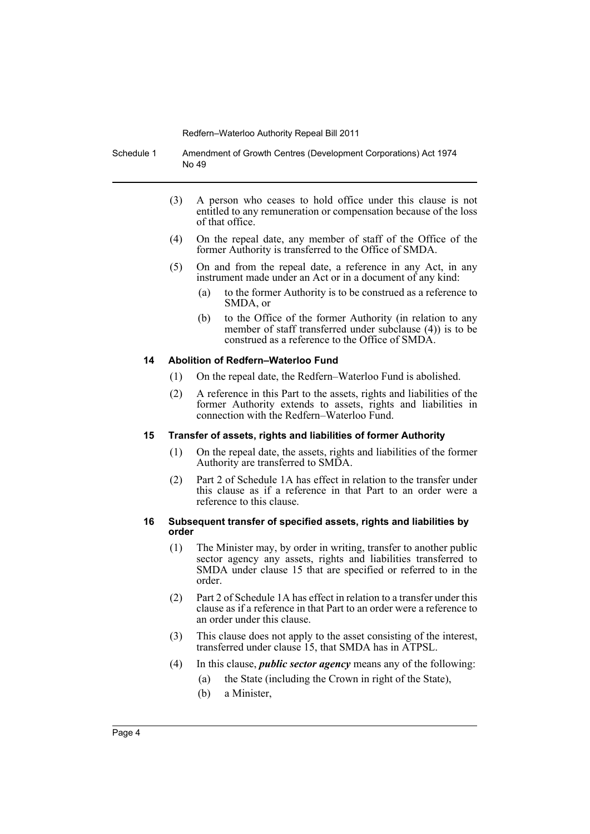Schedule 1 Amendment of Growth Centres (Development Corporations) Act 1974 No 49

- (3) A person who ceases to hold office under this clause is not entitled to any remuneration or compensation because of the loss of that office.
- (4) On the repeal date, any member of staff of the Office of the former Authority is transferred to the Office of SMDA.
- (5) On and from the repeal date, a reference in any Act, in any instrument made under an Act or in a document of any kind:
	- (a) to the former Authority is to be construed as a reference to SMDA, or
	- (b) to the Office of the former Authority (in relation to any member of staff transferred under subclause (4)) is to be construed as a reference to the Office of SMDA.

#### **14 Abolition of Redfern–Waterloo Fund**

- (1) On the repeal date, the Redfern–Waterloo Fund is abolished.
- (2) A reference in this Part to the assets, rights and liabilities of the former Authority extends to assets, rights and liabilities in connection with the Redfern–Waterloo Fund.

#### **15 Transfer of assets, rights and liabilities of former Authority**

- (1) On the repeal date, the assets, rights and liabilities of the former Authority are transferred to SMDA.
- (2) Part 2 of Schedule 1A has effect in relation to the transfer under this clause as if a reference in that Part to an order were a reference to this clause.

#### **16 Subsequent transfer of specified assets, rights and liabilities by order**

- (1) The Minister may, by order in writing, transfer to another public sector agency any assets, rights and liabilities transferred to SMDA under clause 15 that are specified or referred to in the order.
- (2) Part 2 of Schedule 1A has effect in relation to a transfer under this clause as if a reference in that Part to an order were a reference to an order under this clause.
- (3) This clause does not apply to the asset consisting of the interest, transferred under clause 15, that SMDA has in ATPSL.
- (4) In this clause, *public sector agency* means any of the following:
	- (a) the State (including the Crown in right of the State),
	- (b) a Minister,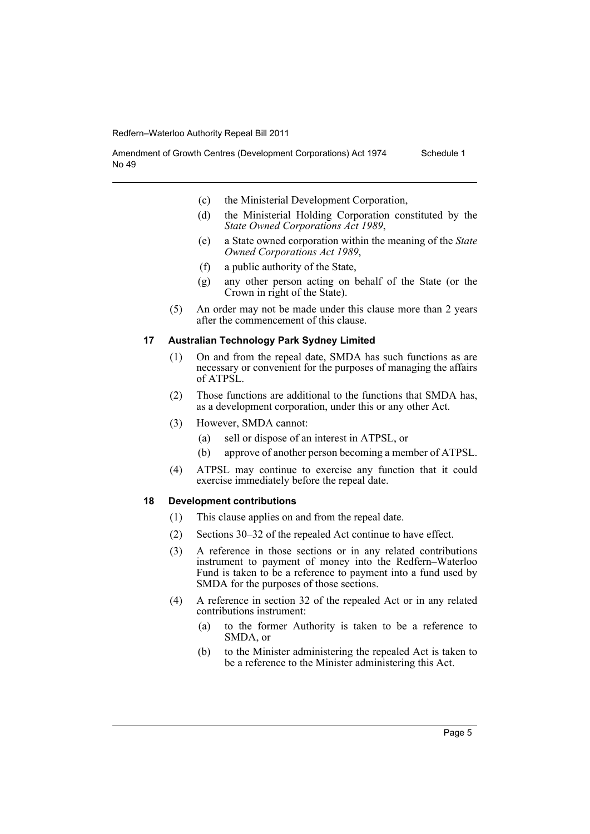No 49

- (c) the Ministerial Development Corporation,
- (d) the Ministerial Holding Corporation constituted by the *State Owned Corporations Act 1989*,
- (e) a State owned corporation within the meaning of the *State Owned Corporations Act 1989*,
- (f) a public authority of the State,
- (g) any other person acting on behalf of the State (or the Crown in right of the State).
- (5) An order may not be made under this clause more than 2 years after the commencement of this clause.

#### **17 Australian Technology Park Sydney Limited**

Amendment of Growth Centres (Development Corporations) Act 1974

- (1) On and from the repeal date, SMDA has such functions as are necessary or convenient for the purposes of managing the affairs of ATPSL.
- (2) Those functions are additional to the functions that SMDA has, as a development corporation, under this or any other Act.
- (3) However, SMDA cannot:
	- (a) sell or dispose of an interest in ATPSL, or
	- (b) approve of another person becoming a member of ATPSL.
- (4) ATPSL may continue to exercise any function that it could exercise immediately before the repeal date.

## **18 Development contributions**

- (1) This clause applies on and from the repeal date.
- (2) Sections 30–32 of the repealed Act continue to have effect.
- (3) A reference in those sections or in any related contributions instrument to payment of money into the Redfern–Waterloo Fund is taken to be a reference to payment into a fund used by SMDA for the purposes of those sections.
- (4) A reference in section 32 of the repealed Act or in any related contributions instrument:
	- (a) to the former Authority is taken to be a reference to SMDA, or
	- (b) to the Minister administering the repealed Act is taken to be a reference to the Minister administering this Act.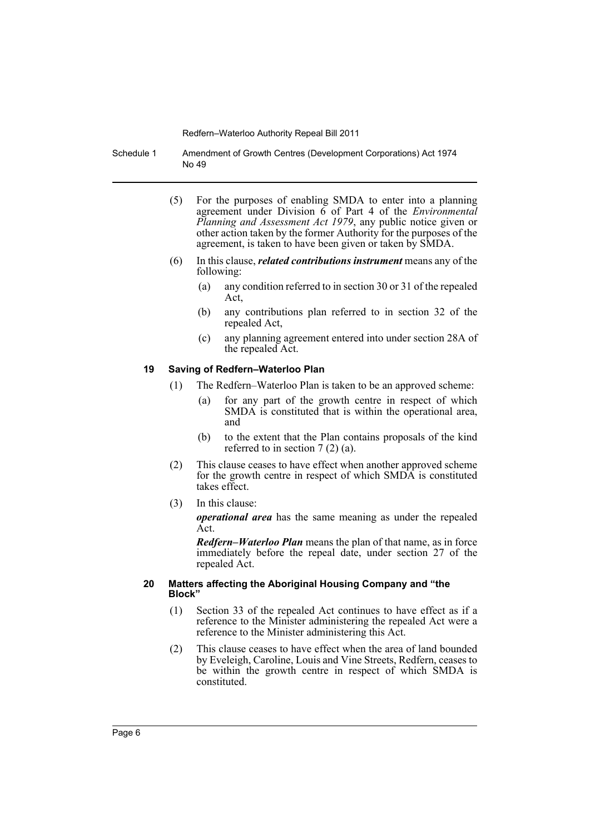Schedule 1 Amendment of Growth Centres (Development Corporations) Act 1974 No 49

- (5) For the purposes of enabling SMDA to enter into a planning agreement under Division 6 of Part 4 of the *Environmental Planning and Assessment Act 1979*, any public notice given or other action taken by the former Authority for the purposes of the agreement, is taken to have been given or taken by SMDA.
- (6) In this clause, *related contributions instrument* means any of the following:
	- (a) any condition referred to in section 30 or 31 of the repealed Act,
	- (b) any contributions plan referred to in section 32 of the repealed Act,
	- (c) any planning agreement entered into under section 28A of the repealed Act.

#### **19 Saving of Redfern–Waterloo Plan**

- (1) The Redfern–Waterloo Plan is taken to be an approved scheme:
	- (a) for any part of the growth centre in respect of which SMDA is constituted that is within the operational area, and
	- (b) to the extent that the Plan contains proposals of the kind referred to in section 7 (2) (a).
- (2) This clause ceases to have effect when another approved scheme for the growth centre in respect of which SMDA is constituted takes effect.
- (3) In this clause:

*operational area* has the same meaning as under the repealed Act.

*Redfern–Waterloo Plan* means the plan of that name, as in force immediately before the repeal date, under section 27 of the repealed Act.

#### **20 Matters affecting the Aboriginal Housing Company and "the Block"**

- (1) Section 33 of the repealed Act continues to have effect as if a reference to the Minister administering the repealed Act were a reference to the Minister administering this Act.
- (2) This clause ceases to have effect when the area of land bounded by Eveleigh, Caroline, Louis and Vine Streets, Redfern, ceases to be within the growth centre in respect of which SMDA is constituted.